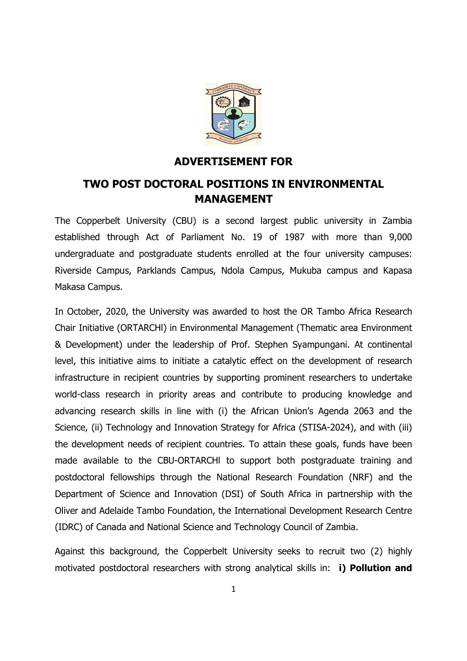

### ADVERTISEMENT FOR

# TWO POST DOCTORAL POSITIONS IN ENVIRONMENTAL MANAGEMENT

The Copperbelt University (CBU) is a second largest public university in Zambia established through Act of Parliament No. 19 of 1987 with more than 9,000 undergraduate and postgraduate students enrolled at the four university campuses: Riverside Campus, Parklands Campus, Ndola Campus, Mukuba campus and Kapasa Makasa Campus.

In October, 2020, the University was awarded to host the OR Tambo Africa Research Chair Initiative (ORTARCHl) in Environmental Management (Thematic area Environment & Development) under the leadership of Prof. Stephen Syampungani. At continental level, this initiative aims to initiate a catalytic effect on the development of research infrastructure in recipient countries by supporting prominent researchers to undertake world-class research in priority areas and contribute to producing knowledge and advancing research skills in line with (i) the African Union's Agenda 2063 and the Science, (ii) Technology and Innovation Strategy for Africa (STISA-2024), and with (iii) the development needs of recipient countries. To attain these goals, funds have been made available to the CBU-ORTARCHl to support both postgraduate training and postdoctoral fellowships through the National Research Foundation (NRF) and the Department of Science and Innovation (DSI) of South Africa in partnership with the Oliver and Adelaide Tambo Foundation, the International Development Research Centre (IDRC) of Canada and National Science and Technology Council of Zambia.

Against this background, the Copperbelt University seeks to recruit two (2) highly motivated postdoctoral researchers with strong analytical skills in: **i) Pollution and**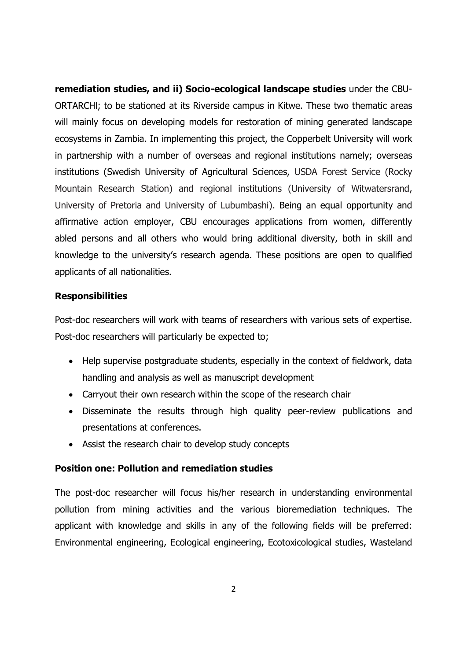remediation studies, and ii) Socio-ecological landscape studies under the CBU-ORTARCHl; to be stationed at its Riverside campus in Kitwe. These two thematic areas will mainly focus on developing models for restoration of mining generated landscape ecosystems in Zambia. In implementing this project, the Copperbelt University will work in partnership with a number of overseas and regional institutions namely; overseas institutions (Swedish University of Agricultural Sciences, USDA Forest Service (Rocky Mountain Research Station) and regional institutions (University of Witwatersrand, University of Pretoria and University of Lubumbashi). Being an equal opportunity and affirmative action employer, CBU encourages applications from women, differently abled persons and all others who would bring additional diversity, both in skill and knowledge to the university's research agenda. These positions are open to qualified applicants of all nationalities.

#### **Responsibilities**

Post-doc researchers will work with teams of researchers with various sets of expertise. Post-doc researchers will particularly be expected to;

- Help supervise postgraduate students, especially in the context of fieldwork, data handling and analysis as well as manuscript development
- Carryout their own research within the scope of the research chair
- Disseminate the results through high quality peer-review publications and presentations at conferences.
- Assist the research chair to develop study concepts

#### Position one: Pollution and remediation studies

The post-doc researcher will focus his/her research in understanding environmental pollution from mining activities and the various bioremediation techniques. The applicant with knowledge and skills in any of the following fields will be preferred: Environmental engineering, Ecological engineering, Ecotoxicological studies, Wasteland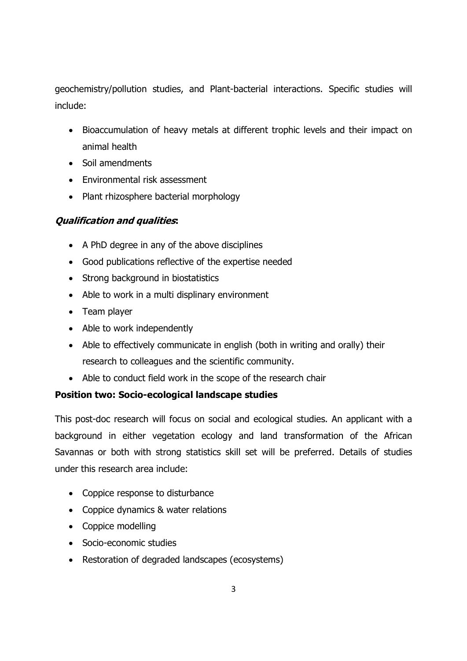geochemistry/pollution studies, and Plant-bacterial interactions. Specific studies will include:

- Bioaccumulation of heavy metals at different trophic levels and their impact on animal health
- Soil amendments
- Environmental risk assessment
- Plant rhizosphere bacterial morphology

### Qualification and qualities:

- A PhD degree in any of the above disciplines
- Good publications reflective of the expertise needed
- Strong background in biostatistics
- Able to work in a multi displinary environment
- Team player
- Able to work independently
- Able to effectively communicate in english (both in writing and orally) their research to colleagues and the scientific community.
- Able to conduct field work in the scope of the research chair

# Position two: Socio-ecological landscape studies

This post-doc research will focus on social and ecological studies. An applicant with a background in either vegetation ecology and land transformation of the African Savannas or both with strong statistics skill set will be preferred. Details of studies under this research area include:

- Coppice response to disturbance
- Coppice dynamics & water relations
- Coppice modelling
- Socio-economic studies
- Restoration of degraded landscapes (ecosystems)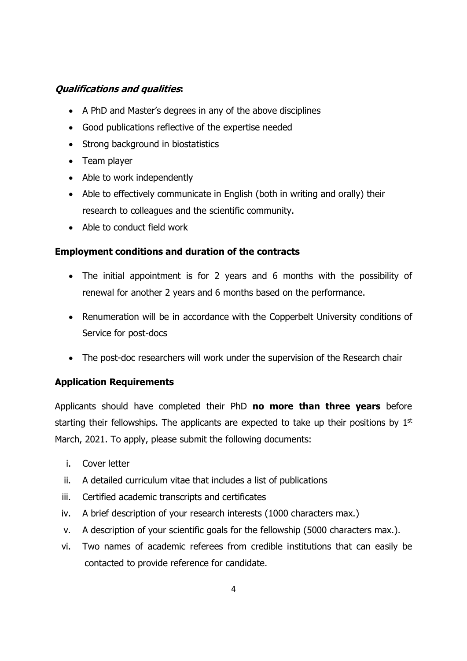### Qualifications and qualities:

- A PhD and Master's degrees in any of the above disciplines
- Good publications reflective of the expertise needed
- Strong background in biostatistics
- Team player
- Able to work independently
- Able to effectively communicate in English (both in writing and orally) their research to colleagues and the scientific community.
- Able to conduct field work

### Employment conditions and duration of the contracts

- The initial appointment is for 2 years and 6 months with the possibility of renewal for another 2 years and 6 months based on the performance.
- Renumeration will be in accordance with the Copperbelt University conditions of Service for post-docs
- The post-doc researchers will work under the supervision of the Research chair

# Application Requirements

Applicants should have completed their PhD no more than three years before starting their fellowships. The applicants are expected to take up their positions by  $1<sup>st</sup>$ March, 2021. To apply, please submit the following documents:

- i. Cover letter
- ii. A detailed curriculum vitae that includes a list of publications
- iii. Certified academic transcripts and certificates
- iv. A brief description of your research interests (1000 characters max.)
- v. A description of your scientific goals for the fellowship (5000 characters max.).
- vi. Two names of academic referees from credible institutions that can easily be contacted to provide reference for candidate.